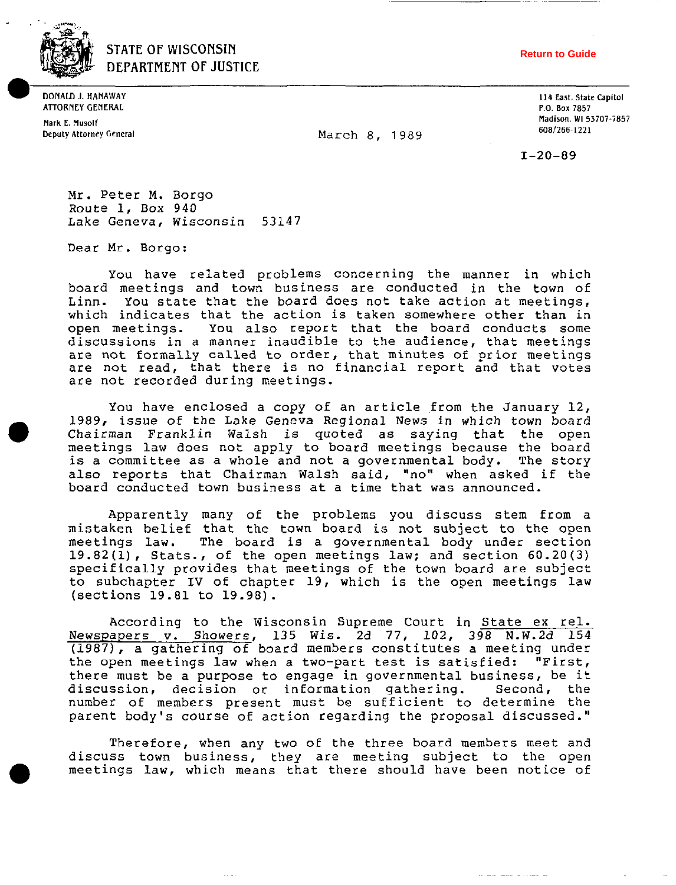

' **STATE OF WISCONSIN DEPARTMENT OF JUSTICE** 

**DONAlD J. HANAlVAY ATTORNEY GENERAL** 

**Mark E. Xusolf** 

**Return to Guide**

**Deputy Attorney General 1989 March 8, 1989** 

**114 East. State Capitol P.O. Bar 7857 Madison. WI 53707-7857 6081266~1221** 

 $I - 20 - 89$ 

Mr. Peter M. Borgo Route 1, BOX 940 Lake Geneva, Wisconsin 53147

Dear Mr. Borgo:

You have related problems concerning the manner in which board meetings and town business are conducted in the town of Linn. You state that the board does not take action at meetings, which indicates that the action is taken somewhere other than in open meetings. You also report that the board conducts some discussions in a manner inaudible to the audience, that meetings are not formally called to order, that minutes of prior meetings are not read, that there is no financial report and that votes are not recorded during meetings.

You have enclosed a copy of an article from the January 12, 1989, issue of the Lake Geneva Regional News in which town board Chairman Franklin Walsh is quoted as saying that the open meetings law does not apply to board meetings because the board is a committee as a whole and not a governmental body. The story also reports that Chairman Walsh said, "no" when asked if the board conducted town business at a time that was announced.

Apparently many of the problems you discuss stem from a mistaken belief that the town board is not subject to the open meetings law. The board is a governmental body under section 19.82(1), Stats., of the open meetings law; and section 60.20 (3) specifically provides that meetings of the town board are subject to subchapter IV of chapter 19, which is the open meetings law (sections 19.81 to 19.98).

According to the Wisconsin Supreme Court in State ex rel. Newspapers **v.** Showers, 135 Wis. 2d 77, 102, 398 N.W.2d 154 (1987), a gathering of board members constitutes a meeting under the open meetings law when a two-part test is satisfied: "First, there must be a purpose to engage in governmental business, be it<br>discussion, decision or information gathering. Second, the discussion, decision or information gathering. number of members present must be sufficient to determine the parent body's course of action regarding the proposal discussed."

Therefore, when any two oE the three board members meet and discuss town business, they are meeting subject to the open meetings law, which means that there should have been notice of